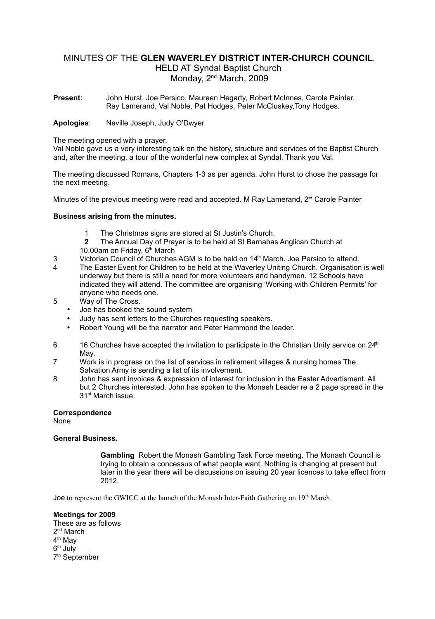# MINUTES OF THE **GLEN WAVERLEY DISTRICT INTER-CHURCH COUNCIL**,

HELD AT Syndal Baptist Church Monday, 2<sup>nd</sup> March, 2009

**Present:** John Hurst, Joe Persico, Maureen Hegarty, Robert McInnes, Carole Painter, Ray Lamerand, Val Noble, Pat Hodges, Peter McCluskey,Tony Hodges.

### **Apologies**: Neville Joseph, Judy O'Dwyer

#### The meeting opened with a prayer.

Val Noble gave us a very interesting talk on the history, structure and services of the Baptist Church and, after the meeting, a tour of the wonderful new complex at Syndal. Thank you Val.

The meeting discussed Romans, Chapters 1-3 as per agenda. John Hurst to chose the passage for the next meeting.

Minutes of the previous meeting were read and accepted. M Ray Lamerand,  $2<sup>nd</sup>$  Carole Painter

## **Business arising from the minutes.**

- The Christmas signs are stored at St Justin's Church.
- **2** The Annual Day of Prayer is to be held at St Barnabas Anglican Church at 10.00am on Friday, 6<sup>th</sup> March
- 
- 3 Victorian Council of Churches AGM is to be held on 14<sup>th</sup> March. Joe Persico to attend.<br>4 The Easter Event for Children to be held at the Waverley Uniting Church, Organisation The Easter Event for Children to be held at the Waverley Uniting Church. Organisation is well underway but there is still a need for more volunteers and handymen. 12 Schools have indicated they will attend. The committee are organising 'Working with Children Permits' for anyone who needs one.
- 5 Way of The Cross.
	- Joe has booked the sound system
	- Judy has sent letters to the Churches requesting speakers.
	- Robert Young will be the narrator and Peter Hammond the leader.
- 6 16 Churches have accepted the invitation to participate in the Christian Unity service on  $24<sup>th</sup>$ May.
- 7 Work is in progress on the list of services in retirement villages & nursing homes The Salvation Army is sending a list of its involvement.
- 8 John has sent invoices & expression of interest for inclusion in the Easter Advertisment. All but 2 Churches interested. John has spoken to the Monash Leader re a 2 page spread in the 31<sup>st</sup> March issue.

## **Correspondence**

None

## **General Business.**

**Gambling** Robert the Monash Gambling Task Force meeting. The Monash Council is trying to obtain a concessus of what people want. Nothing is changing at present but later in the year there will be discussions on issuing 20 year licences to take effect from 2012.

Joe to represent the GWICC at the launch of the Monash Inter-Faith Gathering on 19<sup>th</sup> March.

#### **Meetings for 2009**

These are as follows 2<sup>nd</sup> March 4<sup>th</sup> May 6<sup>th</sup> July 7<sup>th</sup> September